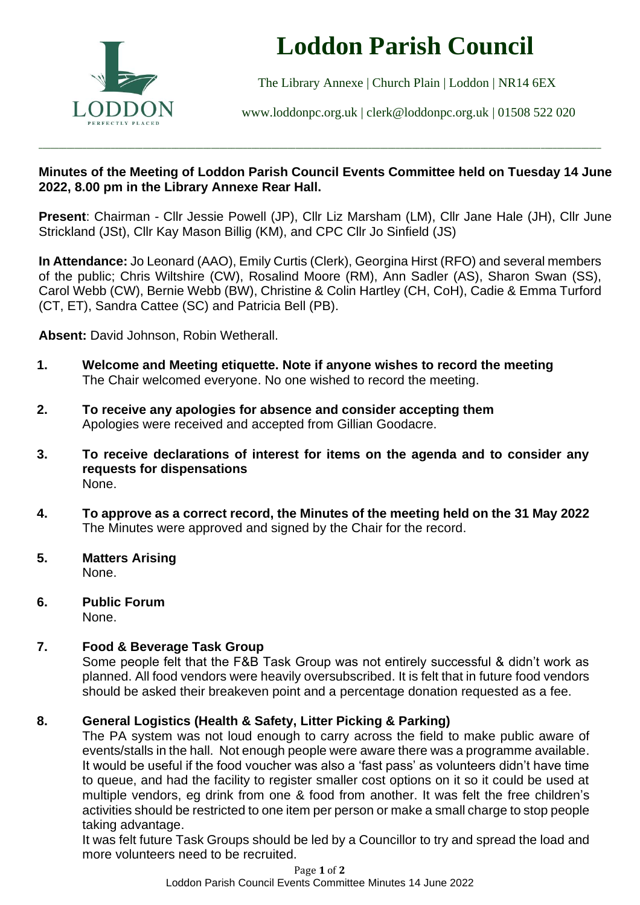

# **Loddon Parish Council**

The Library Annexe | Church Plain | Loddon | NR14 6EX

[www.loddonpc.org.uk](http://www.loddonpc.org.uk/) | [clerk@loddonpc.org.uk](mailto:clerk@loddonpc.org.uk) | 01508 522 020

#### **Minutes of the Meeting of Loddon Parish Council Events Committee held on Tuesday 14 June 2022, 8.00 pm in the Library Annexe Rear Hall.**

\_\_\_\_\_\_\_\_\_\_\_\_\_\_\_\_\_\_\_\_\_\_\_\_\_\_\_\_\_\_\_\_\_\_\_\_\_\_\_\_\_\_\_\_\_\_\_\_\_\_\_\_\_\_\_\_\_\_\_\_\_\_\_\_\_\_\_\_\_\_\_\_\_\_\_\_\_\_\_\_\_\_\_\_\_\_\_\_\_\_\_\_\_\_\_\_\_\_\_\_\_\_\_\_\_\_\_\_\_\_\_\_\_\_\_\_\_\_\_\_\_\_\_\_\_\_\_\_\_\_\_\_\_\_\_\_\_\_\_\_

**Present**: Chairman - Cllr Jessie Powell (JP), Cllr Liz Marsham (LM), Cllr Jane Hale (JH), Cllr June Strickland (JSt), Cllr Kay Mason Billig (KM), and CPC Cllr Jo Sinfield (JS)

**In Attendance:** Jo Leonard (AAO), Emily Curtis (Clerk), Georgina Hirst (RFO) and several members of the public; Chris Wiltshire (CW), Rosalind Moore (RM), Ann Sadler (AS), Sharon Swan (SS), Carol Webb (CW), Bernie Webb (BW), Christine & Colin Hartley (CH, CoH), Cadie & Emma Turford (CT, ET), Sandra Cattee (SC) and Patricia Bell (PB).

**Absent:** David Johnson, Robin Wetherall.

- **1. Welcome and Meeting etiquette. Note if anyone wishes to record the meeting** The Chair welcomed everyone. No one wished to record the meeting.
- **2. To receive any apologies for absence and consider accepting them** Apologies were received and accepted from Gillian Goodacre.
- **3. To receive declarations of interest for items on the agenda and to consider any requests for dispensations** None.
- **4. To approve as a correct record, the Minutes of the meeting held on the 31 May 2022** The Minutes were approved and signed by the Chair for the record.
- **5. Matters Arising** None.
- **6. Public Forum** None.

# **7. Food & Beverage Task Group**

Some people felt that the F&B Task Group was not entirely successful & didn't work as planned. All food vendors were heavily oversubscribed. It is felt that in future food vendors should be asked their breakeven point and a percentage donation requested as a fee.

# **8. General Logistics (Health & Safety, Litter Picking & Parking)**

The PA system was not loud enough to carry across the field to make public aware of events/stalls in the hall. Not enough people were aware there was a programme available. It would be useful if the food voucher was also a 'fast pass' as volunteers didn't have time to queue, and had the facility to register smaller cost options on it so it could be used at multiple vendors, eg drink from one & food from another. It was felt the free children's activities should be restricted to one item per person or make a small charge to stop people taking advantage.

It was felt future Task Groups should be led by a Councillor to try and spread the load and more volunteers need to be recruited.